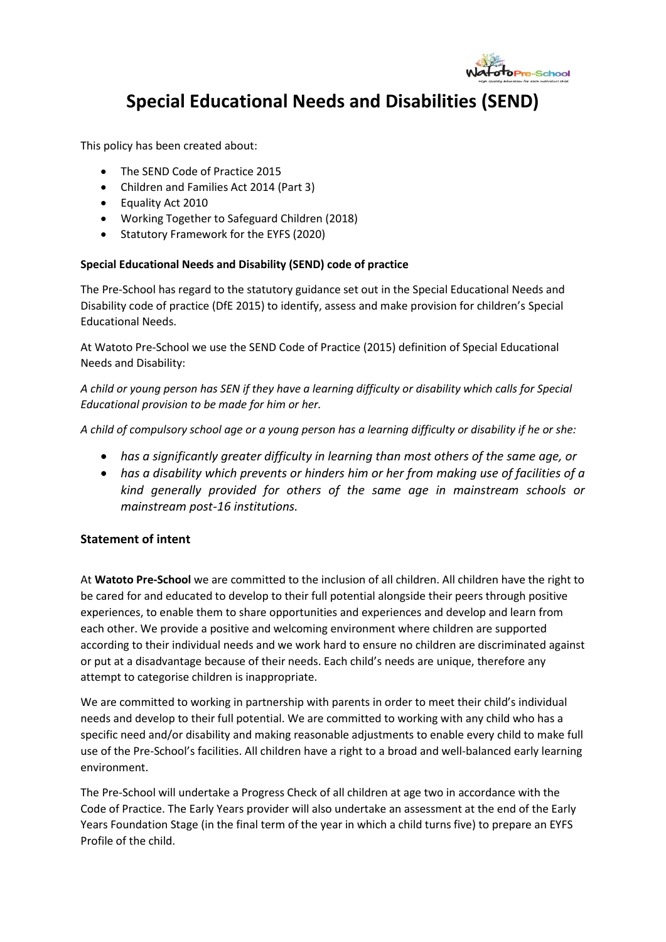

# **Special Educational Needs and Disabilities (SEND)**

This policy has been created about:

- The SEND Code of Practice 2015
- Children and Families Act 2014 (Part 3)
- Equality Act 2010
- Working Together to Safeguard Children (2018)
- Statutory Framework for the EYFS (2020)

#### **Special Educational Needs and Disability (SEND) code of practice**

The Pre-School has regard to the statutory guidance set out in the Special Educational Needs and Disability code of practice (DfE 2015) to identify, assess and make provision for children's Special Educational Needs.

At Watoto Pre-School we use the SEND Code of Practice (2015) definition of Special Educational Needs and Disability:

*A child or young person has SEN if they have a learning difficulty or disability which calls for Special Educational provision to be made for him or her.*

*A child of compulsory school age or a young person has a learning difficulty or disability if he or she:*

- *has a significantly greater difficulty in learning than most others of the same age, or*
- *has a disability which prevents or hinders him or her from making use of facilities of a kind generally provided for others of the same age in mainstream schools or mainstream post-16 institutions.*

#### **Statement of intent**

At **Watoto Pre-School** we are committed to the inclusion of all children. All children have the right to be cared for and educated to develop to their full potential alongside their peers through positive experiences, to enable them to share opportunities and experiences and develop and learn from each other. We provide a positive and welcoming environment where children are supported according to their individual needs and we work hard to ensure no children are discriminated against or put at a disadvantage because of their needs. Each child's needs are unique, therefore any attempt to categorise children is inappropriate.

We are committed to working in partnership with parents in order to meet their child's individual needs and develop to their full potential. We are committed to working with any child who has a specific need and/or disability and making reasonable adjustments to enable every child to make full use of the Pre-School's facilities. All children have a right to a broad and well-balanced early learning environment.

The Pre-School will undertake a Progress Check of all children at age two in accordance with the Code of Practice. The Early Years provider will also undertake an assessment at the end of the Early Years Foundation Stage (in the final term of the year in which a child turns five) to prepare an EYFS Profile of the child.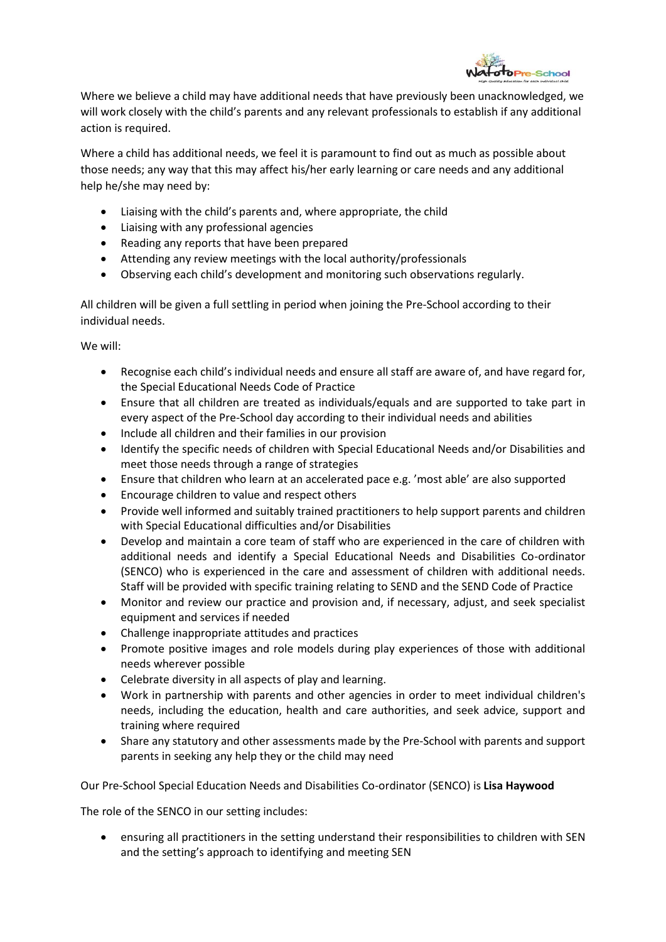

Where we believe a child may have additional needs that have previously been unacknowledged, we will work closely with the child's parents and any relevant professionals to establish if any additional action is required.

Where a child has additional needs, we feel it is paramount to find out as much as possible about those needs; any way that this may affect his/her early learning or care needs and any additional help he/she may need by:

- Liaising with the child's parents and, where appropriate, the child
- Liaising with any professional agencies
- Reading any reports that have been prepared
- Attending any review meetings with the local authority/professionals
- Observing each child's development and monitoring such observations regularly.

All children will be given a full settling in period when joining the Pre-School according to their individual needs.

We will:

- Recognise each child's individual needs and ensure all staff are aware of, and have regard for, the Special Educational Needs Code of Practice
- Ensure that all children are treated as individuals/equals and are supported to take part in every aspect of the Pre-School day according to their individual needs and abilities
- Include all children and their families in our provision
- Identify the specific needs of children with Special Educational Needs and/or Disabilities and meet those needs through a range of strategies
- Ensure that children who learn at an accelerated pace e.g. 'most able' are also supported
- Encourage children to value and respect others
- Provide well informed and suitably trained practitioners to help support parents and children with Special Educational difficulties and/or Disabilities
- Develop and maintain a core team of staff who are experienced in the care of children with additional needs and identify a Special Educational Needs and Disabilities Co-ordinator (SENCO) who is experienced in the care and assessment of children with additional needs. Staff will be provided with specific training relating to SEND and the SEND Code of Practice
- Monitor and review our practice and provision and, if necessary, adjust, and seek specialist equipment and services if needed
- Challenge inappropriate attitudes and practices
- Promote positive images and role models during play experiences of those with additional needs wherever possible
- Celebrate diversity in all aspects of play and learning.
- Work in partnership with parents and other agencies in order to meet individual children's needs, including the education, health and care authorities, and seek advice, support and training where required
- Share any statutory and other assessments made by the Pre-School with parents and support parents in seeking any help they or the child may need

Our Pre-School Special Education Needs and Disabilities Co-ordinator (SENCO) is **Lisa Haywood**

The role of the SENCO in our setting includes:

• ensuring all practitioners in the setting understand their responsibilities to children with SEN and the setting's approach to identifying and meeting SEN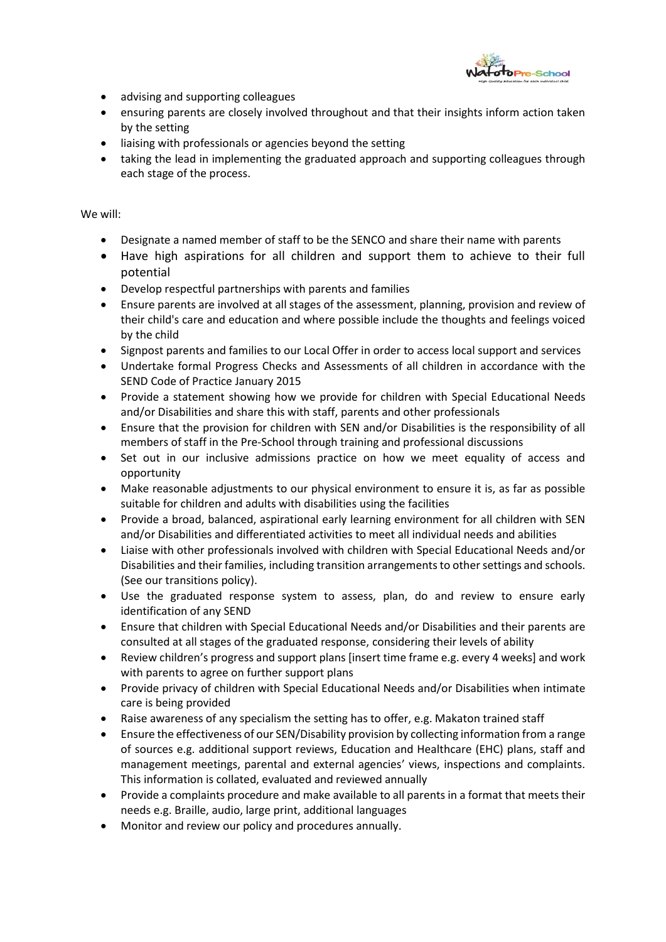

- advising and supporting colleagues
- ensuring parents are closely involved throughout and that their insights inform action taken by the setting
- liaising with professionals or agencies beyond the setting
- taking the lead in implementing the graduated approach and supporting colleagues through each stage of the process.

We will:

- Designate a named member of staff to be the SENCO and share their name with parents
- Have high aspirations for all children and support them to achieve to their full potential
- Develop respectful partnerships with parents and families
- Ensure parents are involved at all stages of the assessment, planning, provision and review of their child's care and education and where possible include the thoughts and feelings voiced by the child
- Signpost parents and families to our Local Offer in order to access local support and services
- Undertake formal Progress Checks and Assessments of all children in accordance with the SEND Code of Practice January 2015
- Provide a statement showing how we provide for children with Special Educational Needs and/or Disabilities and share this with staff, parents and other professionals
- Ensure that the provision for children with SEN and/or Disabilities is the responsibility of all members of staff in the Pre-School through training and professional discussions
- Set out in our inclusive admissions practice on how we meet equality of access and opportunity
- Make reasonable adjustments to our physical environment to ensure it is, as far as possible suitable for children and adults with disabilities using the facilities
- Provide a broad, balanced, aspirational early learning environment for all children with SEN and/or Disabilities and differentiated activities to meet all individual needs and abilities
- Liaise with other professionals involved with children with Special Educational Needs and/or Disabilities and their families, including transition arrangements to other settings and schools. (See our transitions policy).
- Use the graduated response system to assess, plan, do and review to ensure early identification of any SEND
- Ensure that children with Special Educational Needs and/or Disabilities and their parents are consulted at all stages of the graduated response, considering their levels of ability
- Review children's progress and support plans [insert time frame e.g. every 4 weeks] and work with parents to agree on further support plans
- Provide privacy of children with Special Educational Needs and/or Disabilities when intimate care is being provided
- Raise awareness of any specialism the setting has to offer, e.g. Makaton trained staff
- Ensure the effectiveness of our SEN/Disability provision by collecting information from a range of sources e.g. additional support reviews, Education and Healthcare (EHC) plans, staff and management meetings, parental and external agencies' views, inspections and complaints. This information is collated, evaluated and reviewed annually
- Provide a complaints procedure and make available to all parents in a format that meets their needs e.g. Braille, audio, large print, additional languages
- Monitor and review our policy and procedures annually.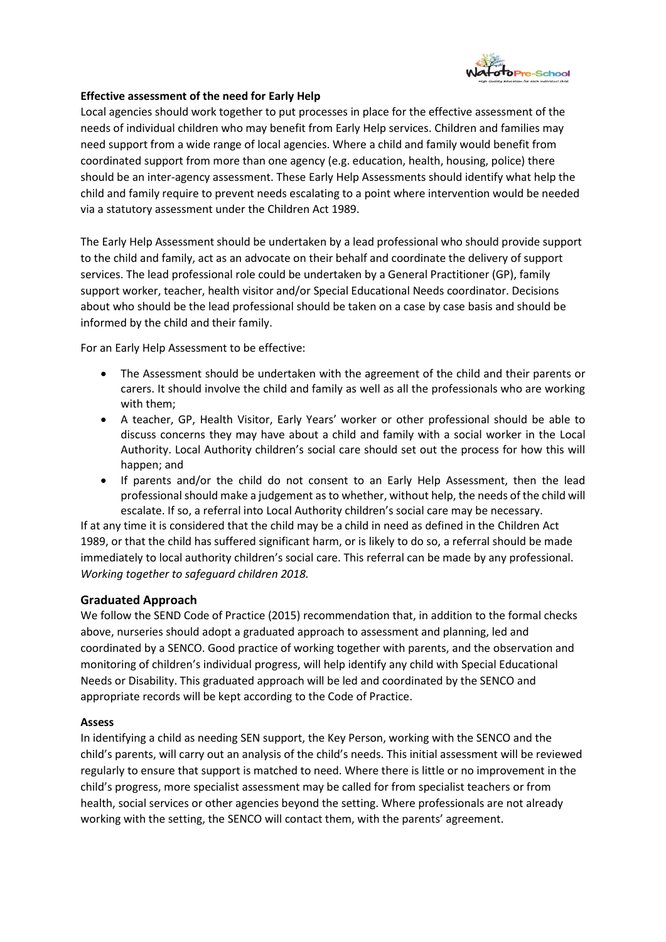

## **Effective assessment of the need for Early Help**

Local agencies should work together to put processes in place for the effective assessment of the needs of individual children who may benefit from Early Help services. Children and families may need support from a wide range of local agencies. Where a child and family would benefit from coordinated support from more than one agency (e.g. education, health, housing, police) there should be an inter-agency assessment. These Early Help Assessments should identify what help the child and family require to prevent needs escalating to a point where intervention would be needed via a statutory assessment under the Children Act 1989.

The Early Help Assessment should be undertaken by a lead professional who should provide support to the child and family, act as an advocate on their behalf and coordinate the delivery of support services. The lead professional role could be undertaken by a General Practitioner (GP), family support worker, teacher, health visitor and/or Special Educational Needs coordinator. Decisions about who should be the lead professional should be taken on a case by case basis and should be informed by the child and their family.

For an Early Help Assessment to be effective:

- The Assessment should be undertaken with the agreement of the child and their parents or carers. It should involve the child and family as well as all the professionals who are working with them;
- A teacher, GP, Health Visitor, Early Years' worker or other professional should be able to discuss concerns they may have about a child and family with a social worker in the Local Authority. Local Authority children's social care should set out the process for how this will happen; and
- If parents and/or the child do not consent to an Early Help Assessment, then the lead professional should make a judgement as to whether, without help, the needs of the child will escalate. If so, a referral into Local Authority children's social care may be necessary.

If at any time it is considered that the child may be a child in need as defined in the Children Act 1989, or that the child has suffered significant harm, or is likely to do so, a referral should be made immediately to local authority children's social care. This referral can be made by any professional. *Working together to safeguard children 2018.*

# **Graduated Approach**

We follow the SEND Code of Practice (2015) recommendation that, in addition to the formal checks above, nurseries should adopt a graduated approach to assessment and planning, led and coordinated by a SENCO. Good practice of working together with parents, and the observation and monitoring of children's individual progress, will help identify any child with Special Educational Needs or Disability. This graduated approach will be led and coordinated by the SENCO and appropriate records will be kept according to the Code of Practice.

#### **Assess**

In identifying a child as needing SEN support, the Key Person, working with the SENCO and the child's parents, will carry out an analysis of the child's needs. This initial assessment will be reviewed regularly to ensure that support is matched to need. Where there is little or no improvement in the child's progress, more specialist assessment may be called for from specialist teachers or from health, social services or other agencies beyond the setting. Where professionals are not already working with the setting, the SENCO will contact them, with the parents' agreement.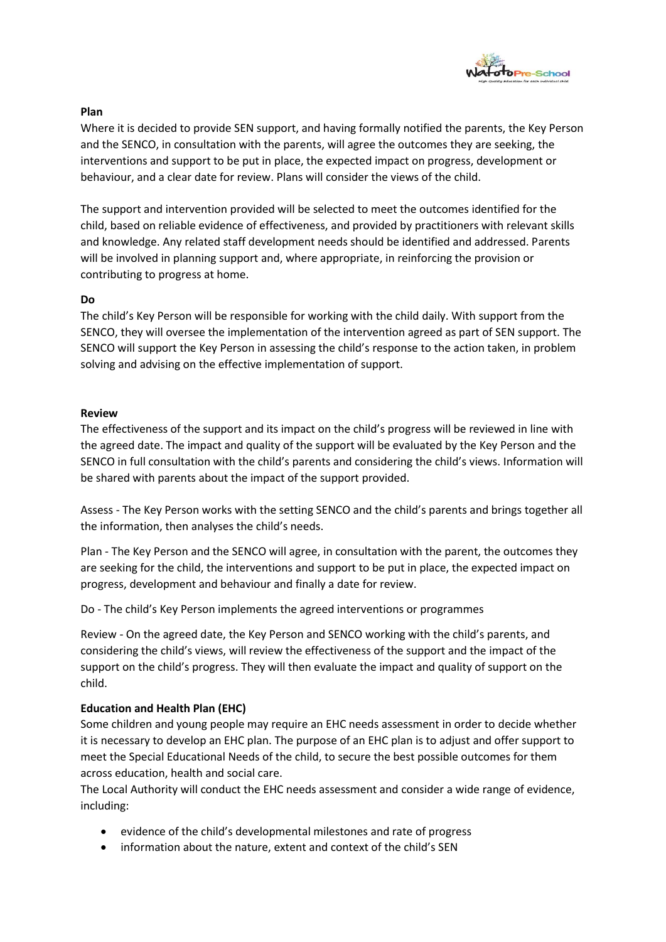

## **Plan**

Where it is decided to provide SEN support, and having formally notified the parents, the Key Person and the SENCO, in consultation with the parents, will agree the outcomes they are seeking, the interventions and support to be put in place, the expected impact on progress, development or behaviour, and a clear date for review. Plans will consider the views of the child.

The support and intervention provided will be selected to meet the outcomes identified for the child, based on reliable evidence of effectiveness, and provided by practitioners with relevant skills and knowledge. Any related staff development needs should be identified and addressed. Parents will be involved in planning support and, where appropriate, in reinforcing the provision or contributing to progress at home.

## **Do**

The child's Key Person will be responsible for working with the child daily. With support from the SENCO, they will oversee the implementation of the intervention agreed as part of SEN support. The SENCO will support the Key Person in assessing the child's response to the action taken, in problem solving and advising on the effective implementation of support.

## **Review**

The effectiveness of the support and its impact on the child's progress will be reviewed in line with the agreed date. The impact and quality of the support will be evaluated by the Key Person and the SENCO in full consultation with the child's parents and considering the child's views. Information will be shared with parents about the impact of the support provided.

Assess - The Key Person works with the setting SENCO and the child's parents and brings together all the information, then analyses the child's needs.

Plan - The Key Person and the SENCO will agree, in consultation with the parent, the outcomes they are seeking for the child, the interventions and support to be put in place, the expected impact on progress, development and behaviour and finally a date for review.

Do - The child's Key Person implements the agreed interventions or programmes

Review - On the agreed date, the Key Person and SENCO working with the child's parents, and considering the child's views, will review the effectiveness of the support and the impact of the support on the child's progress. They will then evaluate the impact and quality of support on the child.

#### **Education and Health Plan (EHC)**

Some children and young people may require an EHC needs assessment in order to decide whether it is necessary to develop an EHC plan. The purpose of an EHC plan is to adjust and offer support to meet the Special Educational Needs of the child, to secure the best possible outcomes for them across education, health and social care.

The Local Authority will conduct the EHC needs assessment and consider a wide range of evidence, including:

- evidence of the child's developmental milestones and rate of progress
- information about the nature, extent and context of the child's SEN